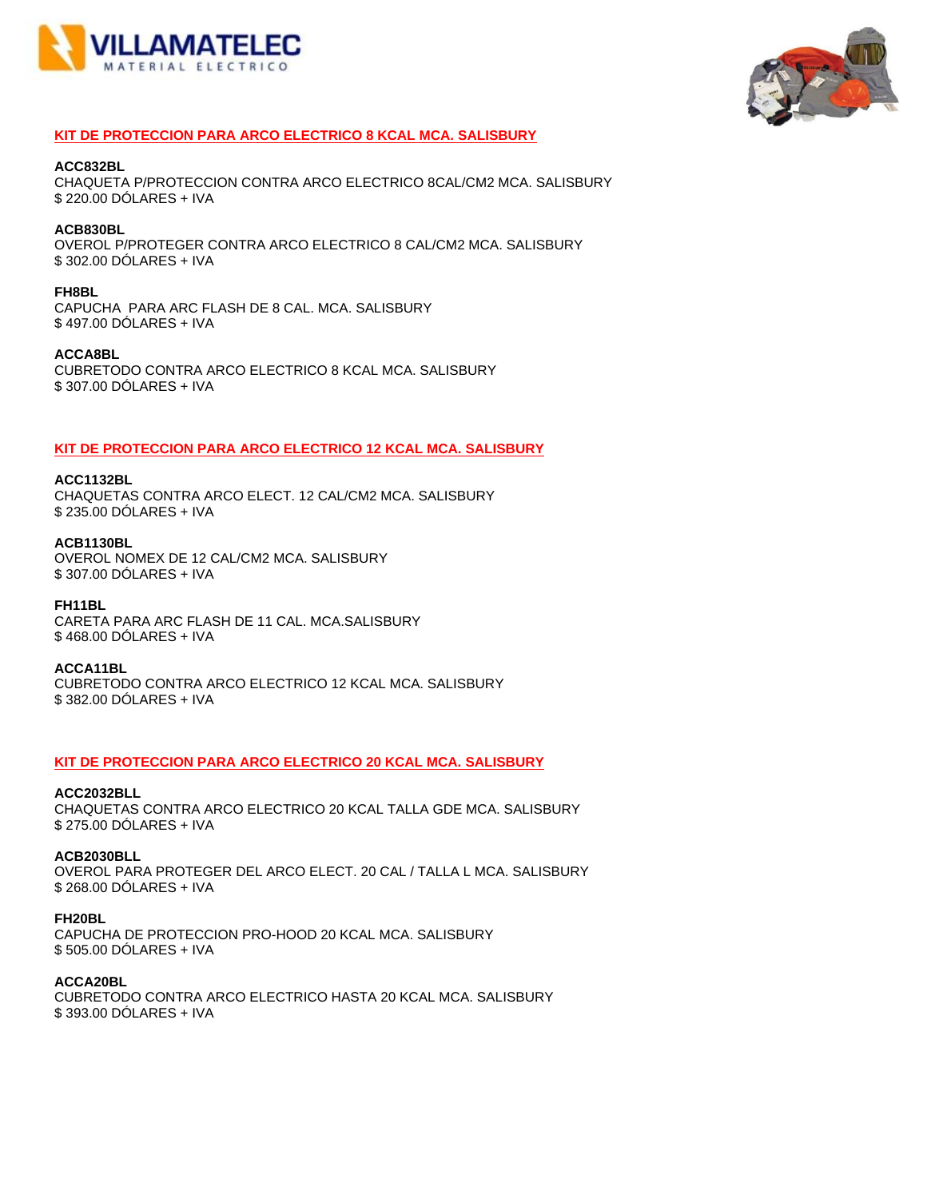



# **KIT DE PROTECCION PARA ARCO ELECTRICO 8 KCAL MCA. SALISBURY**

#### **ACC832BL**

CHAQUETA P/PROTECCION CONTRA ARCO ELECTRICO 8CAL/CM2 MCA. SALISBURY \$ 220.00 DÓLARES + IVA

# **ACB830BL**

OVEROL P/PROTEGER CONTRA ARCO ELECTRICO 8 CAL/CM2 MCA. SALISBURY \$ 302.00 DÓLARES + IVA

## **FH8BL**

CAPUCHA PARA ARC FLASH DE 8 CAL. MCA. SALISBURY \$ 497.00 DÓLARES + IVA

## **ACCA8BL**

CUBRETODO CONTRA ARCO ELECTRICO 8 KCAL MCA. SALISBURY \$ 307.00 DÓLARES + IVA

# **KIT DE PROTECCION PARA ARCO ELECTRICO 12 KCAL MCA. SALISBURY**

## **ACC1132BL**

CHAQUETAS CONTRA ARCO ELECT. 12 CAL/CM2 MCA. SALISBURY \$ 235.00 DÓLARES + IVA

## **ACB1130BL**

OVEROL NOMEX DE 12 CAL/CM2 MCA. SALISBURY \$ 307.00 DÓLARES + IVA

## **FH11BL**

CARETA PARA ARC FLASH DE 11 CAL. MCA.SALISBURY \$ 468.00 DÓLARES + IVA

# **ACCA11BL**

CUBRETODO CONTRA ARCO ELECTRICO 12 KCAL MCA. SALISBURY \$ 382.00 DÓLARES + IVA

# **KIT DE PROTECCION PARA ARCO ELECTRICO 20 KCAL MCA. SALISBURY**

# **ACC2032BLL**

CHAQUETAS CONTRA ARCO ELECTRICO 20 KCAL TALLA GDE MCA. SALISBURY \$ 275.00 DÓLARES + IVA

# **ACB2030BLL**

OVEROL PARA PROTEGER DEL ARCO ELECT. 20 CAL / TALLA L MCA. SALISBURY \$ 268.00 DÓLARES + IVA

# **FH20BL**

CAPUCHA DE PROTECCION PRO-HOOD 20 KCAL MCA. SALISBURY \$ 505.00 DÓLARES + IVA

# **ACCA20BL**

CUBRETODO CONTRA ARCO ELECTRICO HASTA 20 KCAL MCA. SALISBURY \$ 393.00 DÓLARES + IVA